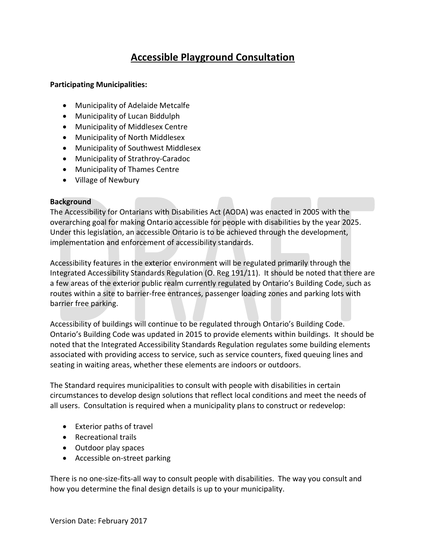# **Accessible Playground Consultation**

## **Participating Municipalities:**

- Municipality of Adelaide Metcalfe
- Municipality of Lucan Biddulph
- Municipality of Middlesex Centre
- Municipality of North Middlesex
- Municipality of Southwest Middlesex
- Municipality of Strathroy-Caradoc
- Municipality of Thames Centre
- Village of Newbury

#### **Background**

The Accessibility for Ontarians with Disabilities Act (AODA) was enacted in 2005 with the overarching goal for making Ontario accessible for people with disabilities by the year 2025. Under this legislation, an accessible Ontario is to be achieved through the development, implementation and enforcement of accessibility standards.

Accessibility features in the exterior environment will be regulated primarily through the Integrated Accessibility Standards Regulation (O. Reg 191/11). It should be noted that there are a few areas of the exterior public realm currently regulated by Ontario's Building Code, such as routes within a site to barrier-free entrances, passenger loading zones and parking lots with barrier free parking.

Accessibility of buildings will continue to be regulated through Ontario's Building Code. Ontario's Building Code was updated in 2015 to provide elements within buildings. It should be noted that the Integrated Accessibility Standards Regulation regulates some building elements associated with providing access to service, such as service counters, fixed queuing lines and seating in waiting areas, whether these elements are indoors or outdoors.

The Standard requires municipalities to consult with people with disabilities in certain circumstances to develop design solutions that reflect local conditions and meet the needs of all users. Consultation is required when a municipality plans to construct or redevelop:

- Exterior paths of travel
- Recreational trails
- Outdoor play spaces
- Accessible on-street parking

There is no one-size-fits-all way to consult people with disabilities. The way you consult and how you determine the final design details is up to your municipality.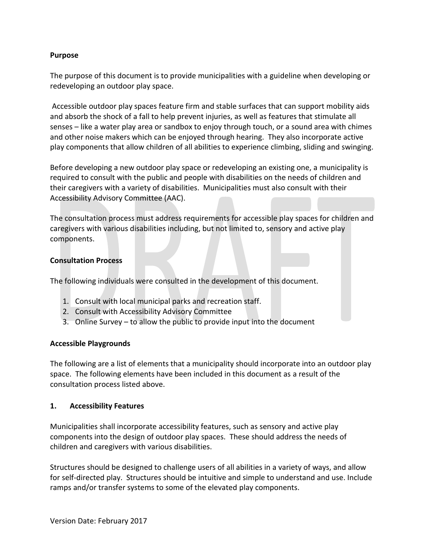## **Purpose**

The purpose of this document is to provide municipalities with a guideline when developing or redeveloping an outdoor play space.

Accessible outdoor play spaces feature firm and stable surfaces that can support mobility aids and absorb the shock of a fall to help prevent injuries, as well as features that stimulate all senses – like a water play area or sandbox to enjoy through touch, or a sound area with chimes and other noise makers which can be enjoyed through hearing. They also incorporate active play components that allow children of all abilities to experience climbing, sliding and swinging.

Before developing a new outdoor play space or redeveloping an existing one, a municipality is required to consult with the public and people with disabilities on the needs of children and their caregivers with a variety of disabilities. Municipalities must also consult with their Accessibility Advisory Committee (AAC).

The consultation process must address requirements for accessible play spaces for children and caregivers with various disabilities including, but not limited to, sensory and active play components.

#### **Consultation Process**

The following individuals were consulted in the development of this document.

- 1. Consult with local municipal parks and recreation staff.
- 2. Consult with Accessibility Advisory Committee
- 3. Online Survey to allow the public to provide input into the document

#### **Accessible Playgrounds**

The following are a list of elements that a municipality should incorporate into an outdoor play space. The following elements have been included in this document as a result of the consultation process listed above.

#### **1. Accessibility Features**

Municipalities shall incorporate accessibility features, such as sensory and active play components into the design of outdoor play spaces. These should address the needs of children and caregivers with various disabilities.

Structures should be designed to challenge users of all abilities in a variety of ways, and allow for self-directed play. Structures should be intuitive and simple to understand and use. Include ramps and/or transfer systems to some of the elevated play components.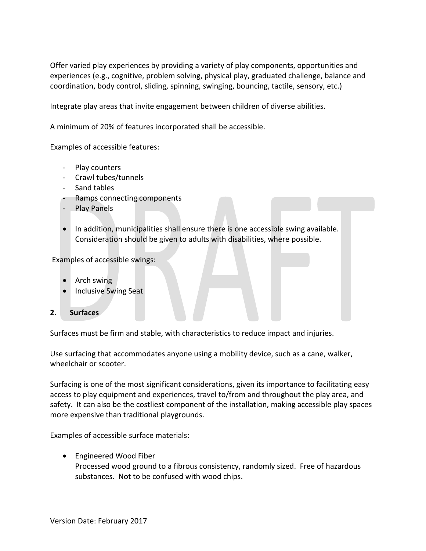Offer varied play experiences by providing a variety of play components, opportunities and experiences (e.g., cognitive, problem solving, physical play, graduated challenge, balance and coordination, body control, sliding, spinning, swinging, bouncing, tactile, sensory, etc.)

Integrate play areas that invite engagement between children of diverse abilities.

A minimum of 20% of features incorporated shall be accessible.

Examples of accessible features:

- Play counters
- Crawl tubes/tunnels
- Sand tables
- Ramps connecting components
- Play Panels
- In addition, municipalities shall ensure there is one accessible swing available. Consideration should be given to adults with disabilities, where possible.

Examples of accessible swings:

- Arch swing
- Inclusive Swing Seat

#### **2. Surfaces**

Surfaces must be firm and stable, with characteristics to reduce impact and injuries.

Use surfacing that accommodates anyone using a mobility device, such as a cane, walker, wheelchair or scooter.

Surfacing is one of the most significant considerations, given its importance to facilitating easy access to play equipment and experiences, travel to/from and throughout the play area, and safety. It can also be the costliest component of the installation, making accessible play spaces more expensive than traditional playgrounds.

Examples of accessible surface materials:

Engineered Wood Fiber

Processed wood ground to a fibrous consistency, randomly sized. Free of hazardous substances. Not to be confused with wood chips.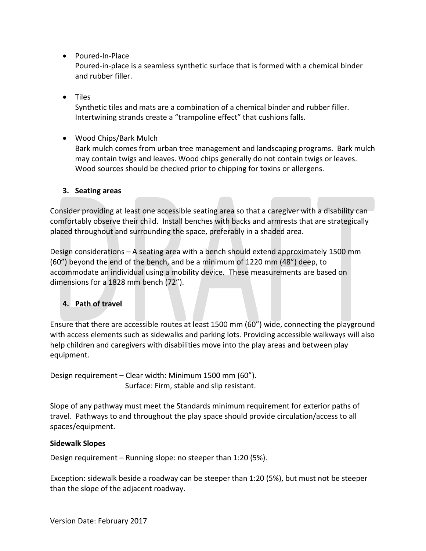• Poured-In-Place

Poured-in-place is a seamless synthetic surface that is formed with a chemical binder and rubber filler.

• Tiles

Synthetic tiles and mats are a combination of a chemical binder and rubber filler. Intertwining strands create a "trampoline effect" that cushions falls.

Wood Chips/Bark Mulch

Bark mulch comes from urban tree management and landscaping programs. Bark mulch may contain twigs and leaves. Wood chips generally do not contain twigs or leaves. Wood sources should be checked prior to chipping for toxins or allergens.

# **3. Seating areas**

Consider providing at least one accessible seating area so that a caregiver with a disability can comfortably observe their child. Install benches with backs and armrests that are strategically placed throughout and surrounding the space, preferably in a shaded area.

Design considerations – A seating area with a bench should extend approximately 1500 mm (60") beyond the end of the bench, and be a minimum of 1220 mm (48") deep, to accommodate an individual using a mobility device. These measurements are based on dimensions for a 1828 mm bench (72").

# **4. Path of travel**

Ensure that there are accessible routes at least 1500 mm (60") wide, connecting the playground with access elements such as sidewalks and parking lots. Providing accessible walkways will also help children and caregivers with disabilities move into the play areas and between play equipment.

Design requirement – Clear width: Minimum 1500 mm (60"). Surface: Firm, stable and slip resistant.

Slope of any pathway must meet the Standards minimum requirement for exterior paths of travel. Pathways to and throughout the play space should provide circulation/access to all spaces/equipment.

# **Sidewalk Slopes**

Design requirement – Running slope: no steeper than 1:20 (5%).

Exception: sidewalk beside a roadway can be steeper than 1:20 (5%), but must not be steeper than the slope of the adjacent roadway.